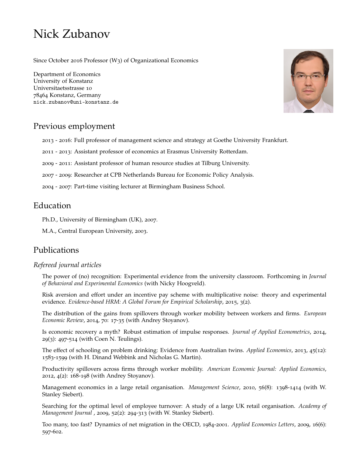# Nick Zubanov

Since October 2016 Professor (W3) of Organizational Economics

Department of Economics [University of Konstanz](https://www.wiwi.uni-konstanz.de) Universitaetsstrasse 10 78464 Konstanz, Germany [nick.zubanov@uni-konstanz.de](mailto:nick.zubanov@uni-konstanz.de)



# Previous employment

- 2013 2016: Full professor of management science and strategy at Goethe University Frankfurt.
- 2011 2013: Assistant professor of economics at Erasmus University Rotterdam.
- 2009 2011: Assistant professor of human resource studies at Tilburg University.
- 2007 2009: Researcher at CPB Netherlands Bureau for Economic Policy Analysis.
- 2004 2007: Part-time visiting lecturer at Birmingham Business School.

# Education

- Ph.D., University of Birmingham (UK), 2007.
- M.A., Central European University, 2003.

# Publications

## *Refereed journal articles*

The power of (no) recognition: Experimental evidence from the university classroom. Forthcoming in *Journal of Behavioral and Experimental Economics* (with Nicky Hoogveld).

Risk aversion and effort under an incentive pay scheme with multiplicative noise: theory and experimental evidence. *Evidence-based HRM: A Global Forum for Empirical Scholarship*, 2015, 3(2).

The distribution of the gains from spillovers through worker mobility between workers and firms. *European Economic Review*, 2014, 70: 17-35 (with Andrey Stoyanov).

Is economic recovery a myth? Robust estimation of impulse responses. *Journal of Applied Econometrics*, 2014, 29(3): 497-514 (with Coen N. Teulings).

The effect of schooling on problem drinking: Evidence from Australian twins. *Applied Economics*, 2013, 45(12): 1583-1599 (with H. Dinand Webbink and Nicholas G. Martin).

Productivity spillovers across firms through worker mobility. *American Economic Journal: Applied Economics*, 2012, 4(2): 168-198 (with Andrey Stoyanov).

Management economics in a large retail organisation. *Management Science*, 2010, 56(8): 1398-1414 (with W. Stanley Siebert).

Searching for the optimal level of employee turnover: A study of a large UK retail organisation. *Academy of Management Journal* , 2009, 52(2): 294-313 (with W. Stanley Siebert).

Too many, too fast? Dynamics of net migration in the OECD, 1984-2001. *Applied Economics Letters*, 2009, 16(6): 597-602.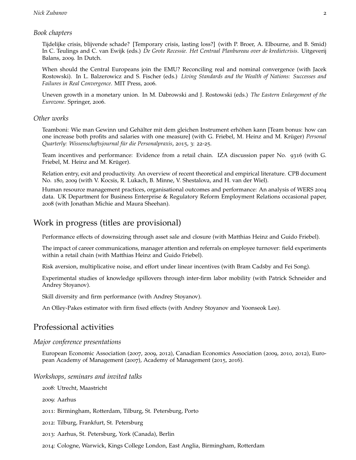#### *Book chapters*

Tijdelijke crisis, blijvende schade? [Temporary crisis, lasting loss?] (with P. Broer, A. Elbourne, and B. Smid) In C. Teulings and C. van Ewijk (eds.) *De Grote Recessie. Het Centraal Planbureau over de kredietcrisis*. Uitgeverij Balans, 2009. In Dutch.

When should the Central Europeans join the EMU? Reconciling real and nominal convergence (with Jacek Rostowski). In L. Balzerowicz and S. Fischer (eds.) *Living Standards and the Wealth of Nations: Successes and Failures in Real Convergence*. MIT Press, 2006.

Uneven growth in a monetary union. In M. Dabrowski and J. Rostowski (eds.) *The Eastern Enlargement of the Eurozone*. Springer, 2006.

### *Other works*

Teamboni: Wie man Gewinn und Gehälter mit dem gleichen Instrument erhöhen kann [Team bonus: how can one increase both profits and salaries with one measure] (with G. Friebel, M. Heinz and M. Krüger) *Personal Quarterly: Wissenschaftsjournal für die Personalpraxis*, 2015, 3: 22-25.

Team incentives and performance: Evidence from a retail chain. IZA discussion paper No. 9316 (with G. Friebel, M. Heinz and M. Krüger).

Relation entry, exit and productivity. An overview of recent theoretical and empirical literature. CPB document No. 180, 2009 (with V. Kocsis, R. Lukach, B. Minne, V. Shestalova, and H. van der Wiel).

Human resource management practices, organisational outcomes and performance: An analysis of WERS 2004 data. UK Department for Business Enterprise & Regulatory Reform Employment Relations occasional paper, 2008 (with Jonathan Michie and Maura Sheehan).

## Work in progress (titles are provisional)

Performance effects of downsizing through asset sale and closure (with Matthias Heinz and Guido Friebel).

The impact of career communications, manager attention and referrals on employee turnover: field experiments within a retail chain (with Matthias Heinz and Guido Friebel).

Risk aversion, multiplicative noise, and effort under linear incentives (with Bram Cadsby and Fei Song).

Experimental studies of knowledge spillovers through inter-firm labor mobility (with Patrick Schneider and Andrey Stoyanov).

Skill diversity and firm performance (with Andrey Stoyanov).

An Olley-Pakes estimator with firm fixed effects (with Andrey Stoyanov and Yoonseok Lee).

## Professional activities

#### *Major conference presentations*

European Economic Association (2007, 2009, 2012), Canadian Economics Association (2009, 2010, 2012), European Academy of Management (2007), Academy of Management (2015, 2016).

#### *Workshops, seminars and invited talks*

2008: Utrecht, Maastricht

2009: Aarhus

2011: Birmingham, Rotterdam, Tilburg, St. Petersburg, Porto

2012: Tilburg, Frankfurt, St. Petersburg

2013: Aarhus, St. Petersburg, York (Canada), Berlin

2014: Cologne, Warwick, Kings College London, East Anglia, Birmingham, Rotterdam